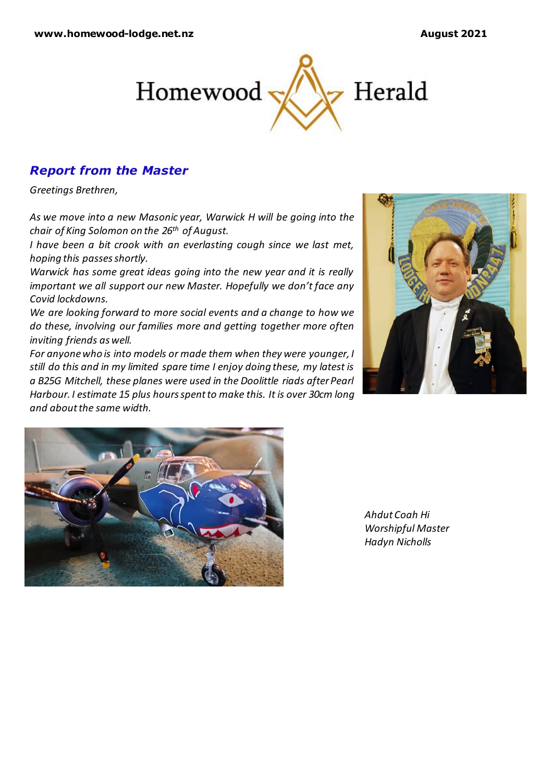

# *Report from the Master*

*Greetings Brethren,*

*As we move into a new Masonic year, Warwick H will be going into the chair of King Solomon on the 26th of August.*

*I have been a bit crook with an everlasting cough since we last met, hoping this passes shortly.* 

*Warwick has some great ideas going into the new year and it is really important we all support our new Master. Hopefully we don't face any Covid lockdowns.*

*We are looking forward to more social events and a change to how we do these, involving our families more and getting together more often inviting friends as well.*

*For anyone who is into models or made them when they were younger, I still do this and in my limited spare time I enjoy doing these, my latest is a B25G Mitchell, these planes were used in the Doolittle riads after Pearl Harbour. I estimate 15 plus hours spent to make this. It is over 30cm long and about the same width.* 





*Ahdut Coah Hi Worshipful Master Hadyn Nicholls*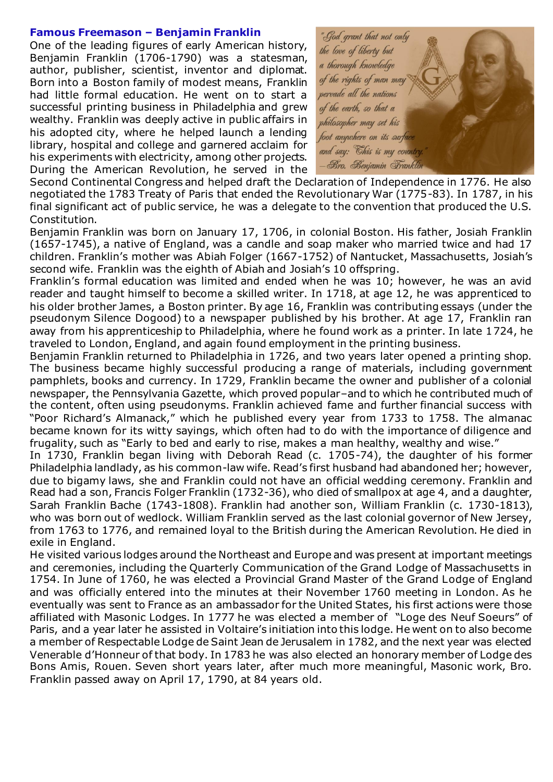### **Famous Freemason – Benjamin Franklin**

One of the leading figures of early American history, Benjamin Franklin (1706-1790) was a statesman, author, publisher, scientist, inventor and diplomat. Born into a Boston family of modest means, Franklin had little formal education. He went on to start a successful printing business in Philadelphia and grew wealthy. Franklin was deeply active in public affairs in his adopted city, where he helped launch a lending library, hospital and college and garnered acclaim for his experiments with electricity, among other projects. During the American Revolution, he served in the



Second Continental Congress and helped draft the Declaration of Independence in 1776. He also negotiated the 1783 Treaty of Paris that ended the Revolutionary War (1775-83). In 1787, in his final significant act of public service, he was a delegate to the convention that produced the U.S. Constitution.

Benjamin Franklin was born on January 17, 1706, in colonial Boston. His father, Josiah Franklin (1657-1745), a native of England, was a candle and soap maker who married twice and had 17 children. Franklin's mother was Abiah Folger (1667-1752) of Nantucket, Massachusetts, Josiah's second wife. Franklin was the eighth of Abiah and Josiah's 10 offspring.

Franklin's formal education was limited and ended when he was 10; however, he was an avid reader and taught himself to become a skilled writer. In 1718, at age 12, he was apprenticed to his older brother James, a Boston printer. By age 16, Franklin was contributing essays (under the pseudonym Silence Dogood) to a newspaper published by his brother. At age 17, Franklin ran away from his apprenticeship to Philadelphia, where he found work as a printer. In late 1724, he traveled to London, England, and again found employment in the printing business.

Benjamin Franklin returned to Philadelphia in 1726, and two years later opened a printing shop. The business became highly successful producing a range of materials, including government pamphlets, books and currency. In 1729, Franklin became the owner and publisher of a colonial newspaper, the Pennsylvania Gazette, which proved popular–and to which he contributed much of the content, often using pseudonyms. Franklin achieved fame and further financial success with "Poor Richard's Almanack," which he published every year from 1733 to 1758. The almanac became known for its witty sayings, which often had to do with the importance of diligence and frugality, such as "Early to bed and early to rise, makes a man healthy, wealthy and wise."

In 1730, Franklin began living with Deborah Read (c. 1705-74), the daughter of his former Philadelphia landlady, as his common-law wife. Read's first husband had abandoned her; however, due to bigamy laws, she and Franklin could not have an official wedding ceremony. Franklin and Read had a son, Francis Folger Franklin (1732-36), who died of smallpox at age 4, and a daughter, Sarah Franklin Bache (1743-1808). Franklin had another son, William Franklin (c. 1730-1813), who was born out of wedlock. William Franklin served as the last colonial governor of New Jersey, from 1763 to 1776, and remained loyal to the British during the American Revolution. He died in exile in England.

He visited various lodges around the Northeast and Europe and was present at important meetings and ceremonies, including the Quarterly Communication of the Grand Lodge of Massachusetts in 1754. In June of 1760, he was elected a Provincial Grand Master of the Grand Lodge of England and was officially entered into the minutes at their November 1760 meeting in London. As he eventually was sent to France as an ambassador for the United States, his first actions were those affiliated with Masonic Lodges. In 1777 he was elected a member of "Loge des Neuf Soeurs" of Paris, and a year later he assisted in Voltaire's initiation into this lodge. He went on to also become a member of Respectable Lodge de Saint Jean de Jerusalem in 1782, and the next year was elected Venerable d'Honneur of that body. In 1783 he was also elected an honorary member of Lodge des Bons Amis, Rouen. Seven short years later, after much more meaningful, Masonic work, Bro. Franklin passed away on April 17, 1790, at 84 years old.